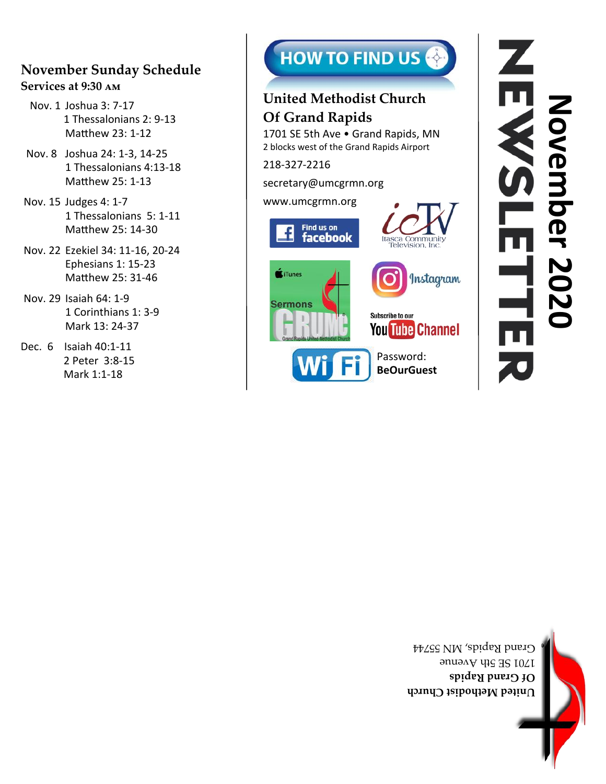## **November Sunday Schedule Services at 9:30 am**

- Nov. 1 Joshua 3: 7-17 1 Thessalonians 2: 9-13 Matthew 23: 1-12
- Nov. 8 Joshua 24: 1-3, 14-25 1 Thessalonians 4:13-18 Matthew 25: 1-13
- Nov. 15 Judges 4: 1-7 1 Thessalonians 5: 1-11 Matthew 25: 14-30
- Nov. 22 Ezekiel 34: 11-16, 20-24 Ephesians 1: 15-23 Matthew 25: 31-46
- Nov. 29 Isaiah 64: 1-9 1 Corinthians 1: 3-9 Mark 13: 24-37
- Dec. 6 Isaiah 40:1-11 2 Peter 3:8-15 Mark 1:1-18





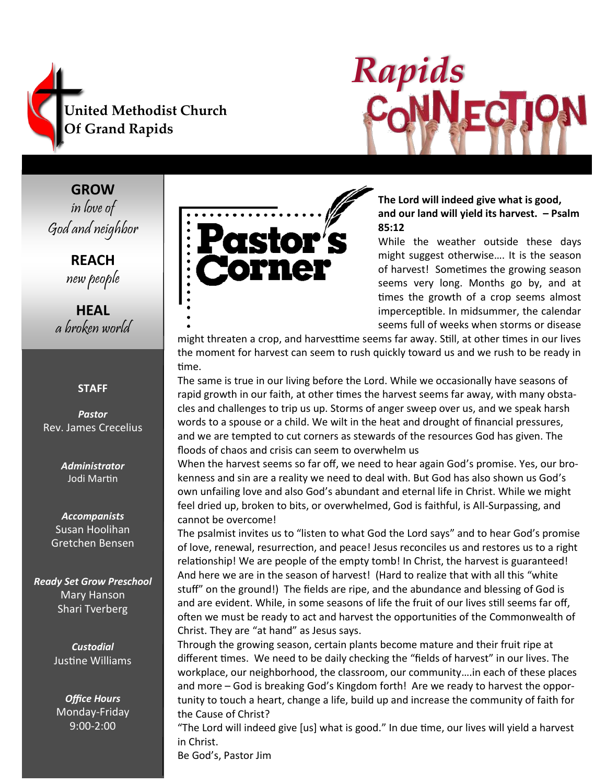



**GROW** in love of God and neighbor

> **REACH** new people

**HEAL** a broken world

#### **STAFF**

*Pastor* Rev. James Crecelius

> *Administrator* Jodi Martin

*Accompanists* Susan Hoolihan Gretchen Bensen

*Ready Set Grow Preschool* Mary Hanson Shari Tverberg

> *Custodial* Justine Williams

*Office Hours* Monday-Friday 9:00-2:00



**The Lord will indeed give what is good, and our land will yield its harvest. – Psalm 85:12**

While the weather outside these days might suggest otherwise…. It is the season of harvest! Sometimes the growing season seems very long. Months go by, and at times the growth of a crop seems almost imperceptible. In midsummer, the calendar seems full of weeks when storms or disease

might threaten a crop, and harvesttime seems far away. Still, at other times in our lives the moment for harvest can seem to rush quickly toward us and we rush to be ready in time.

The same is true in our living before the Lord. While we occasionally have seasons of rapid growth in our faith, at other times the harvest seems far away, with many obstacles and challenges to trip us up. Storms of anger sweep over us, and we speak harsh words to a spouse or a child. We wilt in the heat and drought of financial pressures, and we are tempted to cut corners as stewards of the resources God has given. The floods of chaos and crisis can seem to overwhelm us

When the harvest seems so far off, we need to hear again God's promise. Yes, our brokenness and sin are a reality we need to deal with. But God has also shown us God's own unfailing love and also God's abundant and eternal life in Christ. While we might feel dried up, broken to bits, or overwhelmed, God is faithful, is All-Surpassing, and cannot be overcome!

The psalmist invites us to "listen to what God the Lord says" and to hear God's promise of love, renewal, resurrection, and peace! Jesus reconciles us and restores us to a right relationship! We are people of the empty tomb! In Christ, the harvest is guaranteed! And here we are in the season of harvest! (Hard to realize that with all this "white stuff" on the ground!) The fields are ripe, and the abundance and blessing of God is and are evident. While, in some seasons of life the fruit of our lives still seems far off, often we must be ready to act and harvest the opportunities of the Commonwealth of Christ. They are "at hand" as Jesus says.

Through the growing season, certain plants become mature and their fruit ripe at different times. We need to be daily checking the "fields of harvest" in our lives. The workplace, our neighborhood, the classroom, our community….in each of these places and more – God is breaking God's Kingdom forth! Are we ready to harvest the opportunity to touch a heart, change a life, build up and increase the community of faith for the Cause of Christ?

"The Lord will indeed give [us] what is good." In due time, our lives will yield a harvest in Christ.

Be God's, Pastor Jim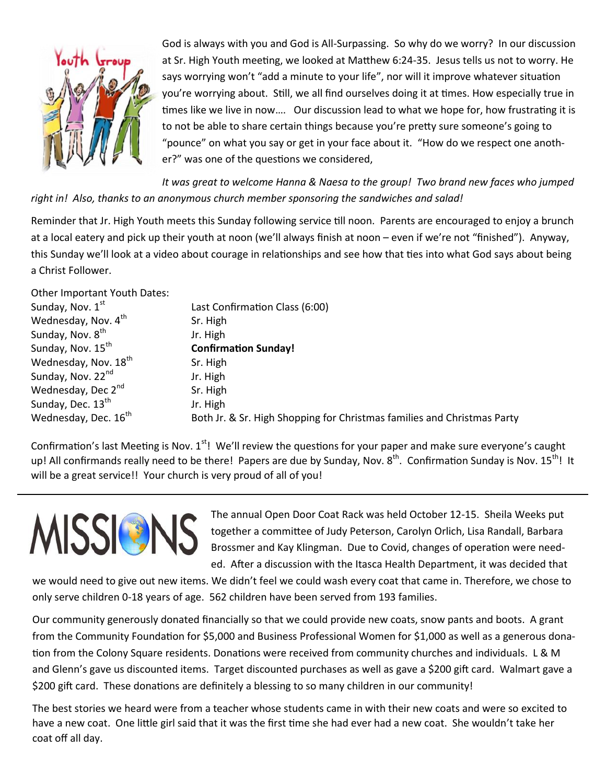

God is always with you and God is All-Surpassing. So why do we worry? In our discussion at Sr. High Youth meeting, we looked at Matthew 6:24-35. Jesus tells us not to worry. He says worrying won't "add a minute to your life", nor will it improve whatever situation you're worrying about. Still, we all find ourselves doing it at times. How especially true in times like we live in now…. Our discussion lead to what we hope for, how frustrating it is to not be able to share certain things because you're pretty sure someone's going to "pounce" on what you say or get in your face about it. "How do we respect one another?" was one of the questions we considered,

*It was great to welcome Hanna & Naesa to the group! Two brand new faces who jumped right in! Also, thanks to an anonymous church member sponsoring the sandwiches and salad!*

Reminder that Jr. High Youth meets this Sunday following service till noon. Parents are encouraged to enjoy a brunch at a local eatery and pick up their youth at noon (we'll always finish at noon – even if we're not "finished"). Anyway, this Sunday we'll look at a video about courage in relationships and see how that ties into what God says about being a Christ Follower.

Other Important Youth Dates: Sunday, Nov.  $1^{st}$  Last Confirmation Class (6:00) Wednesday, Nov.  $4^{th}$  Sr. High Sunday, Nov.  $8^{th}$  Jr. High<br>Sunday, Nov.  $15^{th}$  Confirm **Confirmation Sunday!** Wednesday, Nov.  $18<sup>th</sup>$  Sr. High Sunday, Nov. 22<sup>nd</sup> Jr. High Wednesday, Dec  $2^{nd}$  Sr. High Sunday, Dec.  $13^{th}$  Jr. High Wednesday, Dec.  $16<sup>th</sup>$  Both Jr. & Sr. High Shopping for Christmas families and Christmas Party

Confirmation's last Meeting is Nov.  $1^{st}$ ! We'll review the questions for your paper and make sure everyone's caught up! All confirmands really need to be there! Papers are due by Sunday, Nov. 8<sup>th</sup>. Confirmation Sunday is Nov. 15<sup>th</sup>! It will be a great service!! Your church is very proud of all of you!



The annual Open Door Coat Rack was held October 12-15. Sheila Weeks put together a committee of Judy Peterson, Carolyn Orlich, Lisa Randall, Barbara Brossmer and Kay Klingman. Due to Covid, changes of operation were needed. After a discussion with the Itasca Health Department, it was decided that

we would need to give out new items. We didn't feel we could wash every coat that came in. Therefore, we chose to only serve children 0-18 years of age. 562 children have been served from 193 families.

Our community generously donated financially so that we could provide new coats, snow pants and boots. A grant from the Community Foundation for \$5,000 and Business Professional Women for \$1,000 as well as a generous donation from the Colony Square residents. Donations were received from community churches and individuals. L & M and Glenn's gave us discounted items. Target discounted purchases as well as gave a \$200 gift card. Walmart gave a \$200 gift card. These donations are definitely a blessing to so many children in our community!

The best stories we heard were from a teacher whose students came in with their new coats and were so excited to have a new coat. One little girl said that it was the first time she had ever had a new coat. She wouldn't take her coat off all day.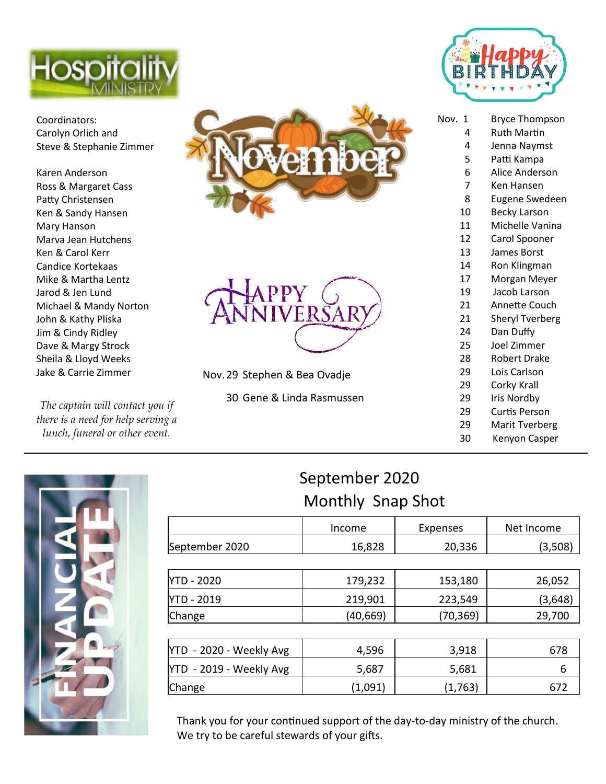

Coordinators: Carolyn Orlich and Steve & Stephanie Zimmer

Karen Anderson Ross & Margaret Cass Patty Christensen Ken & Sandy Hansen Mary Hanson Marva Jean Hutchens Ken & Carol Kerr Candice Kortekaas Mike & Martha Lentz Jarod & Jen Lund Michael & Mandy Norton John & Kathy Pliska Jim & Cindy Ridley Dave & Margy Strock Sheila & Lloyd Weeks Jake & Carrie Zimmer

*The captain will contact you if there is a need for help serving a lunch, funeral or other event.*





Nov.29 Stephen & Bea Ovadje

30 Gene & Linda Rasmussen



| Nov.<br>1      | <b>Bryce Thompson</b>  |  |  |
|----------------|------------------------|--|--|
| 4              | Ruth Martin            |  |  |
| 4              | Jenna Naymst           |  |  |
| 5              | Patti Kampa            |  |  |
| 6              | Alice Anderson         |  |  |
| $\overline{7}$ | Ken Hansen             |  |  |
| 8              | <b>Eugene Swedeen</b>  |  |  |
| 10             | Becky Larson           |  |  |
| 11             | Michelle Vanina        |  |  |
| 12             | Carol Spooner          |  |  |
| 13             | <b>James Borst</b>     |  |  |
| 14             | Ron Klingman           |  |  |
| 17             | Morgan Meyer           |  |  |
| 19             | Jacob Larson           |  |  |
| 21             | Annette Couch          |  |  |
| 21             | <b>Sheryl Tverberg</b> |  |  |
| 24             | Dan Duffy              |  |  |
| 25             | Joel Zimmer            |  |  |
| 28             | Robert Drake           |  |  |
| 29             | Lois Carlson           |  |  |
| 29             | Corky Krall            |  |  |
| 29             | Iris Nordby            |  |  |

- 29 Curtis Person
- 29 Marit Tverberg
- 30 Kenyon Casper



# September 2020 Monthly Snap Shot

|                         | Income   | Expenses  | Net Income |
|-------------------------|----------|-----------|------------|
| September 2020          | 16,828   | 20,336    | (3,508)    |
|                         |          |           |            |
| YTD - 2020              | 179,232  | 153,180   | 26,052     |
| YTD - 2019              | 219,901  | 223,549   | (3,648)    |
| Change                  | (40,669) | (70, 369) | 29,700     |
|                         |          |           |            |
| YTD - 2020 - Weekly Avg | 4,596    | 3,918     | 678        |
| YTD - 2019 - Weekly Avg | 5,687    | 5,681     | 6          |
| Change                  | (1,091)  | (1,763)   | 672        |

Thank you for your continued support of the day-to-day ministry of the church. We try to be careful stewards of your gifts.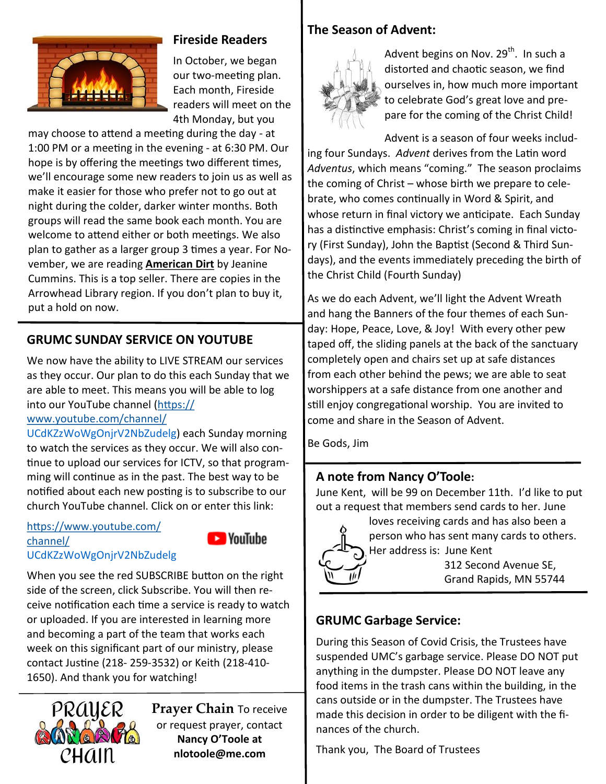

## **Fireside Readers**

In October, we began our two-meeting plan. Each month, Fireside readers will meet on the 4th Monday, but you

may choose to attend a meeting during the day - at 1:00 PM or a meeting in the evening - at 6:30 PM. Our hope is by offering the meetings two different times, we'll encourage some new readers to join us as well as make it easier for those who prefer not to go out at night during the colder, darker winter months. Both groups will read the same book each month. You are welcome to attend either or both meetings. We also plan to gather as a larger group 3 times a year. For November, we are reading **American Dirt** by Jeanine Cummins. This is a top seller. There are copies in the Arrowhead Library region. If you don't plan to buy it, put a hold on now.

## **GRUMC SUNDAY SERVICE ON YOUTUBE**

We now have the ability to LIVE STREAM our services as they occur. Our plan to do this each Sunday that we are able to meet. This means you will be able to log into our YouTube channel [\(https://](https://www.youtube.com/channel/)

## [www.youtube.com/channel/](https://www.youtube.com/channel/)

UCdKZzWoWgOnjrV2NbZudelg) each Sunday morning to watch the services as they occur. We will also continue to upload our services for ICTV, so that programming will continue as in the past. The best way to be notified about each new posting is to subscribe to our church YouTube channel. Click on or enter this link:

#### [https://www.youtube.com/](https://www.youtube.com/channel/) [channel/](https://www.youtube.com/channel/) UCdKZzWoWgOnjrV2NbZudelg



When you see the red SUBSCRIBE button on the right side of the screen, click Subscribe. You will then receive notification each time a service is ready to watch or uploaded. If you are interested in learning more and becoming a part of the team that works each week on this significant part of our ministry, please contact Justine (218- 259-3532) or Keith (218-410- 1650). And thank you for watching!



**Prayer Chain** To receive or request prayer, contact **Nancy O'Toole at nlotoole@me.com**

#### **The Season of Advent:**



Advent begins on Nov. 29<sup>th</sup>. In such a distorted and chaotic season, we find ourselves in, how much more important to celebrate God's great love and prepare for the coming of the Christ Child!

Advent is a season of four weeks including four Sundays. *Advent* derives from the Latin word *Adventus*, which means "coming." The season proclaims the coming of Christ – whose birth we prepare to celebrate, who comes continually in Word & Spirit, and whose return in final victory we anticipate. Each Sunday has a distinctive emphasis: Christ's coming in final victory (First Sunday), John the Baptist (Second & Third Sundays), and the events immediately preceding the birth of the Christ Child (Fourth Sunday)

As we do each Advent, we'll light the Advent Wreath and hang the Banners of the four themes of each Sunday: Hope, Peace, Love, & Joy! With every other pew taped off, the sliding panels at the back of the sanctuary completely open and chairs set up at safe distances from each other behind the pews; we are able to seat worshippers at a safe distance from one another and still enjoy congregational worship. You are invited to come and share in the Season of Advent.

Be Gods, Jim

### **A note from Nancy O'Toole:**

June Kent, will be 99 on December 11th. I'd like to put out a request that members send cards to her. June



loves receiving cards and has also been a person who has sent many cards to others. Her address is: June Kent

> 312 Second Avenue SE, Grand Rapids, MN 55744

## **GRUMC Garbage Service:**

During this Season of Covid Crisis, the Trustees have suspended UMC's garbage service. Please DO NOT put anything in the dumpster. Please DO NOT leave any food items in the trash cans within the building, in the cans outside or in the dumpster. The Trustees have made this decision in order to be diligent with the finances of the church.

Thank you, The Board of Trustees